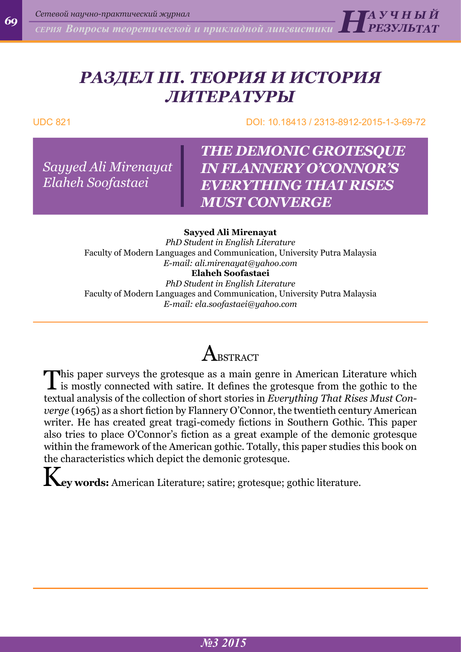*СЕРИЯ Вопросы теоретической и прикладной лингвистики РЕЗУЛЬТАТ*

## *РАЗДЕЛ III. теория и история литературы*

*69*

UDC 821 DOI: 10.18413 / 2313-8912-2015-1-3-69-72

*Н А <sup>У</sup> Ч Н Ы Й* 

*Sayyed Ali Mirenayat Elaheh Soofastaei*

### *THE DEMONIC GROTESQUE IN FLANNERY O'CONNOR'S EVERYTHING THAT RISES MUST CONVERGE*

#### **Sayyed Ali Mirenayat**

*PhD Student in English Literature* Faculty of Modern Languages and Communication, University Putra Malaysia *E-mail: [ali.mirenayat@yahoo.com](mailto:ali.mirenayat@yahoo.com)* **Elaheh Soofastaei** *PhD Student in English Literature* Faculty of Modern Languages and Communication, University Putra Malaysia

*E-mail: [ela.soofastaei@yahoo.com](mailto:ela.soofastaei@yahoo.com)*

# ${\mathbf A}_{\text{BSTRACT}}$

This paper surveys the grotesque as a main genre in American Literature which<br>is mostly connected with satire. It defines the grotesque from the gothic to the textual analysis of the collection of short stories in *Everything That Rises Must Converge* (1965) as a short fiction by Flannery O'Connor, the twentieth century American writer. He has created great tragi-comedy fictions in Southern Gothic. This paper also tries to place O'Connor's fiction as a great example of the demonic grotesque within the framework of the American gothic. Totally, this paper studies this book on the characteristics which depict the demonic grotesque.

K**ey words:** American Literature; satire; grotesque; gothic literature.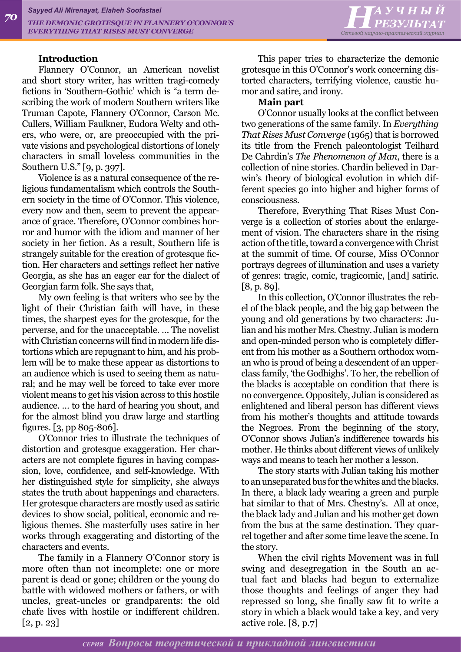

#### **Introduction**

Flannery O'Connor, an American novelist and short story writer, has written tragi-comedy fictions in 'Southern-Gothic' which is "a term describing the work of modern Southern writers like Truman Capote, Flannery O'Connor, Carson Mc. Cullers, William Faulkner, Eudora Welty and others, who were, or, are preoccupied with the private visions and psychological distortions of lonely characters in small loveless communities in the Southern U.S." [9, p. 397].

Violence is as a natural consequence of the religious fundamentalism which controls the Southern society in the time of O'Connor. This violence, every now and then, seem to prevent the appearance of grace. Therefore, O'Connor combines horror and humor with the idiom and manner of her society in her fiction. As a result, Southern life is strangely suitable for the creation of grotesque fiction. Her characters and settings reflect her native Georgia, as she has an eager ear for the dialect of Georgian farm folk. She says that,

My own feeling is that writers who see by the light of their Christian faith will have, in these times, the sharpest eyes for the grotesque, for the perverse, and for the unacceptable. … The novelist with Christian concerns will find in modern life distortions which are repugnant to him, and his problem will be to make these appear as distortions to an audience which is used to seeing them as natural; and he may well be forced to take ever more violent means to get his vision across to this hostile audience. … to the hard of hearing you shout, and for the almost blind you draw large and startling figures. [3, pp 805-806].

O'Connor tries to illustrate the techniques of distortion and grotesque exaggeration. Her characters are not complete figures in having compassion, love, confidence, and self-knowledge. With her distinguished style for simplicity, she always states the truth about happenings and characters. Her grotesque characters are mostly used as satiric devices to show social, political, economic and religious themes. She masterfully uses satire in her works through exaggerating and distorting of the characters and events.

The family in a Flannery O'Connor story is more often than not incomplete: one or more parent is dead or gone; children or the young do battle with widowed mothers or fathers, or with uncles, great-uncles or grandparents: the old chafe lives with hostile or indifferent children. [2, p. 23]

This paper tries to characterize the demonic grotesque in this O'Connor's work concerning distorted characters, terrifying violence, caustic humor and satire, and irony.

#### **Main part**

O'Connor usually looks at the conflict between two generations of the same family. In *Everything That Rises Must Converge* (1965) that is borrowed its title from the French paleontologist Teilhard De Cahrdin's *The Phenomenon of Man*, there is a collection of nine stories. Chardin believed in Darwin's theory of biological evolution in which different species go into higher and higher forms of consciousness.

Therefore, Everything That Rises Must Converge is a collection of stories about the enlargement of vision. The characters share in the rising action of the title, toward a convergence with Christ at the summit of time. Of course, Miss O'Connor portrays degrees of illumination and uses a variety of genres: tragic, comic, tragicomic, [and] satiric. [8, p. 89].

In this collection, O'Connor illustrates the rebel of the black people, and the big gap between the young and old generations by two characters: Julian and his mother Mrs. Chestny. Julian is modern and open-minded person who is completely different from his mother as a Southern orthodox woman who is proud of being a descendent of an upperclass family, 'the Godhighs'. To her, the rebellion of the blacks is acceptable on condition that there is no convergence. Oppositely, Julian is considered as enlightened and liberal person has different views from his mother's thoughts and attitude towards the Negroes. From the beginning of the story, O'Connor shows Julian's indifference towards his mother. He thinks about different views of unlikely ways and means to teach her mother a lesson.

The story starts with Julian taking his mother to an unseparated bus for the whites and the blacks. In there, a black lady wearing a green and purple hat similar to that of Mrs. Chestny's. All at once, the black lady and Julian and his mother get down from the bus at the same destination. They quarrel together and after some time leave the scene. In the story.

When the civil rights Movement was in full swing and desegregation in the South an actual fact and blacks had begun to externalize those thoughts and feelings of anger they had repressed so long, she finally saw fit to write a story in which a black would take a key, and very active role. [8, p.7]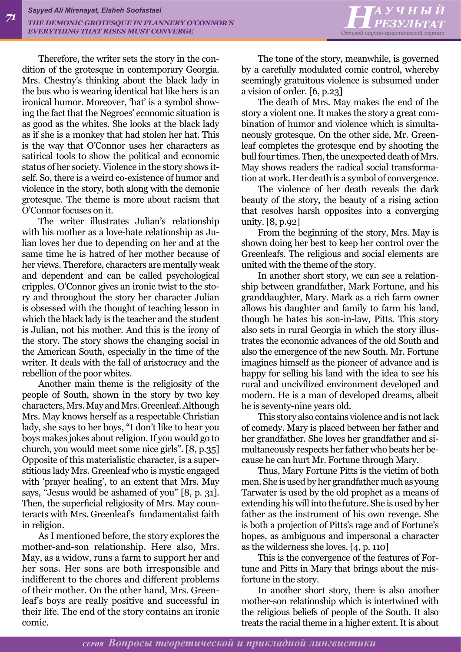Therefore, the writer sets the story in the condition of the grotesque in contemporary Georgia. Mrs. Chestny's thinking about the black lady in the bus who is wearing identical hat like hers is an ironical humor. Moreover, 'hat' is a symbol showing the fact that the Negroes' economic situation is as good as the whites. She looks at the black lady as if she is a monkey that had stolen her hat. This is the way that O'Connor uses her characters as satirical tools to show the political and economic status of her society. Violence in the story shows itself. So, there is a weird co-existence of humor and violence in the story, both along with the demonic grotesque. The theme is more about racism that O'Connor focuses on it.

The writer illustrates Julian's relationship with his mother as a love-hate relationship as Julian loves her due to depending on her and at the same time he is hatred of her mother because of her views. Therefore, characters are mentally weak and dependent and can be called psychological cripples. O'Connor gives an ironic twist to the story and throughout the story her character Julian is obsessed with the thought of teaching lesson in which the black lady is the teacher and the student is Julian, not his mother. And this is the irony of the story. The story shows the changing social in the American South, especially in the time of the writer. It deals with the fall of aristocracy and the rebellion of the poor whites.

Another main theme is the religiosity of the people of South, shown in the story by two key characters, Mrs. May and Mrs. Greenleaf. Although Mrs. May knows herself as a respectable Christian lady, she says to her boys, "I don't like to hear you boys makes jokes about religion. If you would go to church, you would meet some nice girls". [8, p.35] Opposite of this materialistic character, is a superstitious lady Mrs. Greenleaf who is mystic engaged with 'prayer healing', to an extent that Mrs. May says, "Jesus would be ashamed of you" [8, p. 31]. Then, the superficial religiosity of Mrs. May counteracts with Mrs. Greenleaf's fundamentalist faith in religion.

As I mentioned before, the story explores the mother-and-son relationship. Here also, Mrs. May, as a widow, runs a farm to support her and her sons. Her sons are both irresponsible and indifferent to the chores and different problems of their mother. On the other hand, Mrs. Greenleaf's boys are really positive and successful in their life. The end of the story contains an ironic comic.

The tone of the story, meanwhile, is governed by a carefully modulated comic control, whereby seemingly gratuitous violence is subsumed under a vision of order. [6, p.23]

The death of Mrs. May makes the end of the story a violent one. It makes the story a great combination of humor and violence which is simultaneously grotesque. On the other side, Mr. Greenleaf completes the grotesque end by shooting the bull four times. Then, the unexpected death of Mrs. May shows readers the radical social transformation at work. Her death is a symbol of convergence.

The violence of her death reveals the dark beauty of the story, the beauty of a rising action that resolves harsh opposites into a converging unity. [8, p.92]

From the beginning of the story, Mrs. May is shown doing her best to keep her control over the Greenleafs. The religious and social elements are united with the theme of the story.

In another short story, we can see a relationship between grandfather, Mark Fortune, and his granddaughter, Mary. Mark as a rich farm owner allows his daughter and family to farm his land, though he hates his son-in-law, Pitts. This story also sets in rural Georgia in which the story illustrates the economic advances of the old South and also the emergence of the new South. Mr. Fortune imagines himself as the pioneer of advance and is happy for selling his land with the idea to see his rural and uncivilized environment developed and modern. He is a man of developed dreams, albeit he is seventy-nine years old.

This story also contains violence and is not lack of comedy. Mary is placed between her father and her grandfather. She loves her grandfather and simultaneously respects her father who beats her because he can hurt Mr. Fortune through Mary.

Thus, Mary Fortune Pitts is the victim of both men. She is used by her grandfather much as young Tarwater is used by the old prophet as a means of extending his will into the future. She is used by her father as the instrument of his own revenge. She is both a projection of Pitts's rage and of Fortune's hopes, as ambiguous and impersonal a character as the wilderness she loves. [4, p. 110]

This is the convergence of the features of Fortune and Pitts in Mary that brings about the misfortune in the story.

In another short story, there is also another mother-son relationship which is intertwined with the religious beliefs of people of the South. It also treats the racial theme in a higher extent. It is about